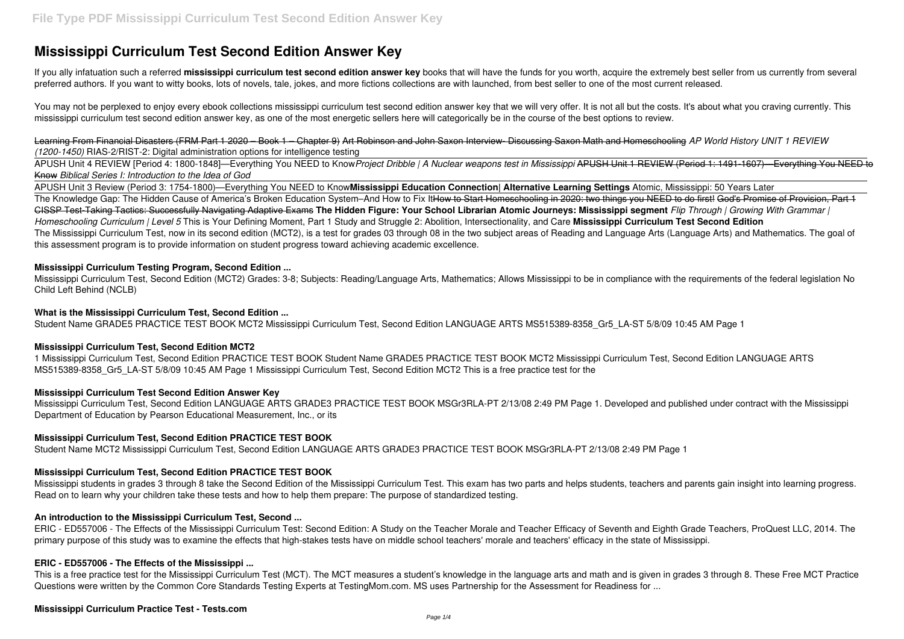# **Mississippi Curriculum Test Second Edition Answer Key**

If you ally infatuation such a referred **mississippi curriculum test second edition answer key** books that will have the funds for you worth, acquire the extremely best seller from us currently from several preferred authors. If you want to witty books, lots of novels, tale, jokes, and more fictions collections are with launched, from best seller to one of the most current released.

You may not be perplexed to enjoy every ebook collections mississippi curriculum test second edition answer key that we will very offer. It is not all but the costs. It's about what you craving currently. This mississippi curriculum test second edition answer key, as one of the most energetic sellers here will categorically be in the course of the best options to review.

Learning From Financial Disasters (FRM Part 1 2020 – Book 1 – Chapter 9) Art Robinson and John Saxon Interview- Discussing Saxon Math and Homeschooling *AP World History UNIT 1 REVIEW (1200-1450)* RIAS-2/RIST-2: Digital administration options for intelligence testing

APUSH Unit 4 REVIEW [Period 4: 1800-1848]—Everything You NEED to Know*Project Dribble | A Nuclear weapons test in Mississippi* APUSH Unit 1 REVIEW (Period 1: 1491-1607)—Everything You NEED to Know *Biblical Series I: Introduction to the Idea of God*

1 Mississippi Curriculum Test, Second Edition PRACTICE TEST BOOK Student Name GRADE5 PRACTICE TEST BOOK MCT2 Mississippi Curriculum Test, Second Edition LANGUAGE ARTS MS515389-8358 Gr5 LA-ST 5/8/09 10:45 AM Page 1 Mississippi Curriculum Test, Second Edition MCT2 This is a free practice test for the

APUSH Unit 3 Review (Period 3: 1754-1800)—Everything You NEED to Know**Mississippi Education Connection| Alternative Learning Settings** Atomic, Mississippi: 50 Years Later The Knowledge Gap: The Hidden Cause of America's Broken Education System–And How to Fix ItHow to Start Homeschooling in 2020: two things you NEED to do first! God's Promise of Provision, Part 1 CISSP Test-Taking Tactics: Successfully Navigating Adaptive Exams **The Hidden Figure: Your School Librarian Atomic Journeys: Mississippi segment** *Flip Through | Growing With Grammar | Homeschooling Curriculum | Level 5* This is Your Defining Moment, Part 1 Study and Struggle 2: Abolition, Intersectionality, and Care **Mississippi Curriculum Test Second Edition** The Mississippi Curriculum Test, now in its second edition (MCT2), is a test for grades 03 through 08 in the two subject areas of Reading and Language Arts (Language Arts) and Mathematics. The goal of this assessment program is to provide information on student progress toward achieving academic excellence.

### **Mississippi Curriculum Testing Program, Second Edition ...**

Mississippi Curriculum Test, Second Edition (MCT2) Grades: 3-8; Subjects: Reading/Language Arts, Mathematics; Allows Mississippi to be in compliance with the requirements of the federal legislation No Child Left Behind (NCLB)

#### **What is the Mississippi Curriculum Test, Second Edition ...**

Student Name GRADE5 PRACTICE TEST BOOK MCT2 Mississippi Curriculum Test, Second Edition LANGUAGE ARTS MS515389-8358\_Gr5\_LA-ST 5/8/09 10:45 AM Page 1

### **Mississippi Curriculum Test, Second Edition MCT2**

### **Mississippi Curriculum Test Second Edition Answer Key**

Mississippi Curriculum Test, Second Edition LANGUAGE ARTS GRADE3 PRACTICE TEST BOOK MSGr3RLA-PT 2/13/08 2:49 PM Page 1. Developed and published under contract with the Mississippi Department of Education by Pearson Educational Measurement, Inc., or its

### **Mississippi Curriculum Test, Second Edition PRACTICE TEST BOOK**

Student Name MCT2 Mississippi Curriculum Test, Second Edition LANGUAGE ARTS GRADE3 PRACTICE TEST BOOK MSGr3RLA-PT 2/13/08 2:49 PM Page 1

### **Mississippi Curriculum Test, Second Edition PRACTICE TEST BOOK**

Mississippi students in grades 3 through 8 take the Second Edition of the Mississippi Curriculum Test. This exam has two parts and helps students, teachers and parents gain insight into learning progress. Read on to learn why your children take these tests and how to help them prepare: The purpose of standardized testing.

### **An introduction to the Mississippi Curriculum Test, Second ...**

ERIC - ED557006 - The Effects of the Mississippi Curriculum Test: Second Edition: A Study on the Teacher Morale and Teacher Efficacy of Seventh and Eighth Grade Teachers, ProQuest LLC, 2014. The primary purpose of this study was to examine the effects that high-stakes tests have on middle school teachers' morale and teachers' efficacy in the state of Mississippi.

### **ERIC - ED557006 - The Effects of the Mississippi ...**

This is a free practice test for the Mississippi Curriculum Test (MCT). The MCT measures a student's knowledge in the language arts and math and is given in grades 3 through 8. These Free MCT Practice Questions were written by the Common Core Standards Testing Experts at TestingMom.com. MS uses Partnership for the Assessment for Readiness for ...

### **Mississippi Curriculum Practice Test - Tests.com**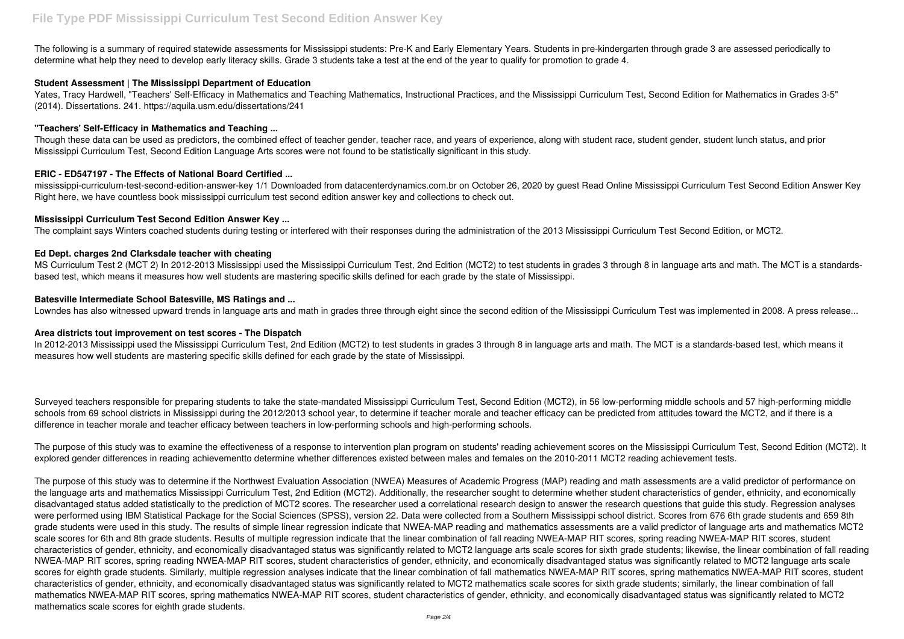The following is a summary of required statewide assessments for Mississippi students: Pre-K and Early Elementary Years. Students in pre-kindergarten through grade 3 are assessed periodically to determine what help they need to develop early literacy skills. Grade 3 students take a test at the end of the year to qualify for promotion to grade 4.

### **Student Assessment | The Mississippi Department of Education**

Yates, Tracy Hardwell, "Teachers' Self-Efficacy in Mathematics and Teaching Mathematics, Instructional Practices, and the Mississippi Curriculum Test, Second Edition for Mathematics in Grades 3-5" (2014). Dissertations. 241. https://aquila.usm.edu/dissertations/241

## **"Teachers' Self-Efficacy in Mathematics and Teaching ...**

Though these data can be used as predictors, the combined effect of teacher gender, teacher race, and years of experience, along with student race, student gender, student lunch status, and prior Mississippi Curriculum Test, Second Edition Language Arts scores were not found to be statistically significant in this study.

MS Curriculum Test 2 (MCT 2) In 2012-2013 Mississippi used the Mississippi Curriculum Test, 2nd Edition (MCT2) to test students in grades 3 through 8 in language arts and math. The MCT is a standardsbased test, which means it measures how well students are mastering specific skills defined for each grade by the state of Mississippi.

## **ERIC - ED547197 - The Effects of National Board Certified ...**

mississippi-curriculum-test-second-edition-answer-key 1/1 Downloaded from datacenterdynamics.com.br on October 26, 2020 by guest Read Online Mississippi Curriculum Test Second Edition Answer Key Right here, we have countless book mississippi curriculum test second edition answer key and collections to check out.

## **Mississippi Curriculum Test Second Edition Answer Key ...**

The complaint says Winters coached students during testing or interfered with their responses during the administration of the 2013 Mississippi Curriculum Test Second Edition, or MCT2.

### **Ed Dept. charges 2nd Clarksdale teacher with cheating**

## **Batesville Intermediate School Batesville, MS Ratings and ...**

Lowndes has also witnessed upward trends in language arts and math in grades three through eight since the second edition of the Mississippi Curriculum Test was implemented in 2008. A press release...

### **Area districts tout improvement on test scores - The Dispatch**

In 2012-2013 Mississippi used the Mississippi Curriculum Test, 2nd Edition (MCT2) to test students in grades 3 through 8 in language arts and math. The MCT is a standards-based test, which means it measures how well students are mastering specific skills defined for each grade by the state of Mississippi.

Surveyed teachers responsible for preparing students to take the state-mandated Mississippi Curriculum Test, Second Edition (MCT2), in 56 low-performing middle schools and 57 high-performing middle schools from 69 school districts in Mississippi during the 2012/2013 school year, to determine if teacher morale and teacher efficacy can be predicted from attitudes toward the MCT2, and if there is a difference in teacher morale and teacher efficacy between teachers in low-performing schools and high-performing schools.

The purpose of this study was to examine the effectiveness of a response to intervention plan program on students' reading achievement scores on the Mississippi Curriculum Test, Second Edition (MCT2). It explored gender differences in reading achievementto determine whether differences existed between males and females on the 2010-2011 MCT2 reading achievement tests.

The purpose of this study was to determine if the Northwest Evaluation Association (NWEA) Measures of Academic Progress (MAP) reading and math assessments are a valid predictor of performance on the language arts and mathematics Mississippi Curriculum Test, 2nd Edition (MCT2). Additionally, the researcher sought to determine whether student characteristics of gender, ethnicity, and economically disadvantaged status added statistically to the prediction of MCT2 scores. The researcher used a correlational research design to answer the research questions that guide this study. Regression analyses were performed using IBM Statistical Package for the Social Sciences (SPSS), version 22. Data were collected from a Southern Mississippi school district. Scores from 676 6th grade students and 659 8th grade students were used in this study. The results of simple linear regression indicate that NWEA-MAP reading and mathematics assessments are a valid predictor of language arts and mathematics MCT2 scale scores for 6th and 8th grade students. Results of multiple regression indicate that the linear combination of fall reading NWEA-MAP RIT scores, spring reading NWEA-MAP RIT scores, student characteristics of gender, ethnicity, and economically disadvantaged status was significantly related to MCT2 language arts scale scores for sixth grade students; likewise, the linear combination of fall reading NWEA-MAP RIT scores, spring reading NWEA-MAP RIT scores, student characteristics of gender, ethnicity, and economically disadvantaged status was significantly related to MCT2 language arts scale scores for eighth grade students. Similarly, multiple regression analyses indicate that the linear combination of fall mathematics NWEA-MAP RIT scores, spring mathematics NWEA-MAP RIT scores, student characteristics of gender, ethnicity, and economically disadvantaged status was significantly related to MCT2 mathematics scale scores for sixth grade students; similarly, the linear combination of fall mathematics NWEA-MAP RIT scores, spring mathematics NWEA-MAP RIT scores, student characteristics of gender, ethnicity, and economically disadvantaged status was significantly related to MCT2 mathematics scale scores for eighth grade students.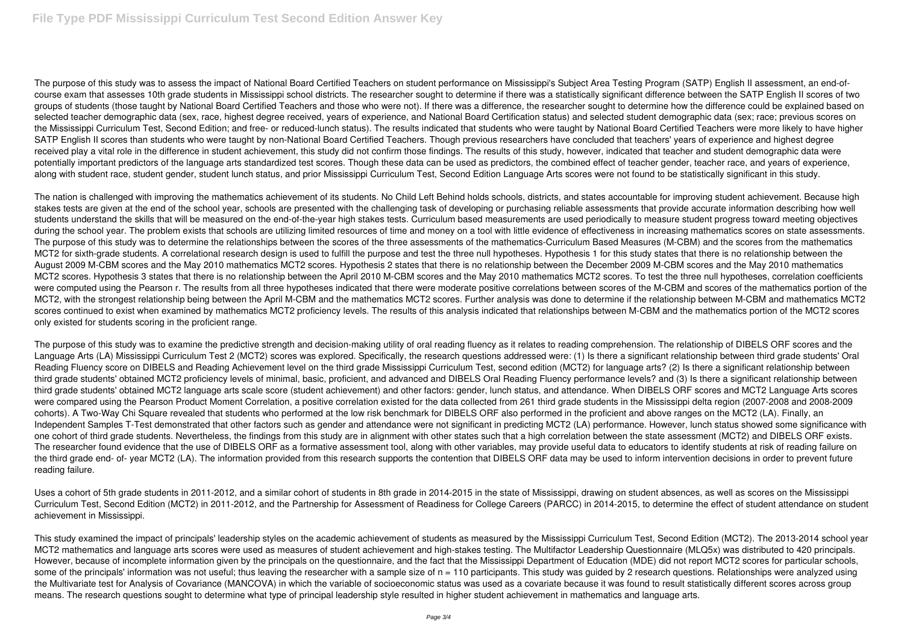The purpose of this study was to assess the impact of National Board Certified Teachers on student performance on Mississippi's Subject Area Testing Program (SATP) English II assessment, an end-ofcourse exam that assesses 10th grade students in Mississippi school districts. The researcher sought to determine if there was a statistically significant difference between the SATP English II scores of two groups of students (those taught by National Board Certified Teachers and those who were not). If there was a difference, the researcher sought to determine how the difference could be explained based on selected teacher demographic data (sex, race, highest degree received, years of experience, and National Board Certification status) and selected student demographic data (sex; race; previous scores on the Mississippi Curriculum Test, Second Edition; and free- or reduced-lunch status). The results indicated that students who were taught by National Board Certified Teachers were more likely to have higher SATP English II scores than students who were taught by non-National Board Certified Teachers. Though previous researchers have concluded that teachers' years of experience and highest degree received play a vital role in the difference in student achievement, this study did not confirm those findings. The results of this study, however, indicated that teacher and student demographic data were potentially important predictors of the language arts standardized test scores. Though these data can be used as predictors, the combined effect of teacher gender, teacher race, and years of experience, along with student race, student gender, student lunch status, and prior Mississippi Curriculum Test, Second Edition Language Arts scores were not found to be statistically significant in this study.

The nation is challenged with improving the mathematics achievement of its students. No Child Left Behind holds schools, districts, and states accountable for improving student achievement. Because high stakes tests are given at the end of the school year, schools are presented with the challenging task of developing or purchasing reliable assessments that provide accurate information describing how well students understand the skills that will be measured on the end-of-the-year high stakes tests. Curriculum based measurements are used periodically to measure student progress toward meeting objectives during the school year. The problem exists that schools are utilizing limited resources of time and money on a tool with little evidence of effectiveness in increasing mathematics scores on state assessments. The purpose of this study was to determine the relationships between the scores of the three assessments of the mathematics-Curriculum Based Measures (M-CBM) and the scores from the mathematics MCT2 for sixth-grade students. A correlational research design is used to fulfill the purpose and test the three null hypotheses. Hypothesis 1 for this study states that there is no relationship between the August 2009 M-CBM scores and the May 2010 mathematics MCT2 scores. Hypothesis 2 states that there is no relationship between the December 2009 M-CBM scores and the May 2010 mathematics MCT2 scores. Hypothesis 3 states that there is no relationship between the April 2010 M-CBM scores and the May 2010 mathematics MCT2 scores. To test the three null hypotheses, correlation coefficients were computed using the Pearson r. The results from all three hypotheses indicated that there were moderate positive correlations between scores of the M-CBM and scores of the mathematics portion of the MCT2, with the strongest relationship being between the April M-CBM and the mathematics MCT2 scores. Further analysis was done to determine if the relationship between M-CBM and mathematics MCT2 scores continued to exist when examined by mathematics MCT2 proficiency levels. The results of this analysis indicated that relationships between M-CBM and the mathematics portion of the MCT2 scores only existed for students scoring in the proficient range.

The purpose of this study was to examine the predictive strength and decision-making utility of oral reading fluency as it relates to reading comprehension. The relationship of DIBELS ORF scores and the Language Arts (LA) Mississippi Curriculum Test 2 (MCT2) scores was explored. Specifically, the research questions addressed were: (1) Is there a significant relationship between third grade students' Oral Reading Fluency score on DIBELS and Reading Achievement level on the third grade Mississippi Curriculum Test, second edition (MCT2) for language arts? (2) Is there a significant relationship between third grade students' obtained MCT2 proficiency levels of minimal, basic, proficient, and advanced and DIBELS Oral Reading Fluency performance levels? and (3) Is there a significant relationship between third grade students' obtained MCT2 language arts scale score (student achievement) and other factors: gender, lunch status, and attendance. When DIBELS ORF scores and MCT2 Language Arts scores were compared using the Pearson Product Moment Correlation, a positive correlation existed for the data collected from 261 third grade students in the Mississippi delta region (2007-2008 and 2008-2009 cohorts). A Two-Way Chi Square revealed that students who performed at the low risk benchmark for DIBELS ORF also performed in the proficient and above ranges on the MCT2 (LA). Finally, an Independent Samples T-Test demonstrated that other factors such as gender and attendance were not significant in predicting MCT2 (LA) performance. However, lunch status showed some significance with one cohort of third grade students. Nevertheless, the findings from this study are in alignment with other states such that a high correlation between the state assessment (MCT2) and DIBELS ORF exists. The researcher found evidence that the use of DIBELS ORF as a formative assessment tool, along with other variables, may provide useful data to educators to identify students at risk of reading failure on the third grade end- of- year MCT2 (LA). The information provided from this research supports the contention that DIBELS ORF data may be used to inform intervention decisions in order to prevent future reading failure.

Uses a cohort of 5th grade students in 2011-2012, and a similar cohort of students in 8th grade in 2014-2015 in the state of Mississippi, drawing on student absences, as well as scores on the Mississippi Curriculum Test, Second Edition (MCT2) in 2011-2012, and the Partnership for Assessment of Readiness for College Careers (PARCC) in 2014-2015, to determine the effect of student attendance on student achievement in Mississippi.

This study examined the impact of principals' leadership styles on the academic achievement of students as measured by the Mississippi Curriculum Test, Second Edition (MCT2). The 2013-2014 school year MCT2 mathematics and language arts scores were used as measures of student achievement and high-stakes testing. The Multifactor Leadership Questionnaire (MLQ5x) was distributed to 420 principals. However, because of incomplete information given by the principals on the questionnaire, and the fact that the Mississippi Department of Education (MDE) did not report MCT2 scores for particular schools, some of the principals' information was not useful; thus leaving the researcher with a sample size of n = 110 participants. This study was quided by 2 research questions. Relationships were analyzed using the Multivariate test for Analysis of Covariance (MANCOVA) in which the variable of socioeconomic status was used as a covariate because it was found to result statistically different scores across group means. The research questions sought to determine what type of principal leadership style resulted in higher student achievement in mathematics and language arts.